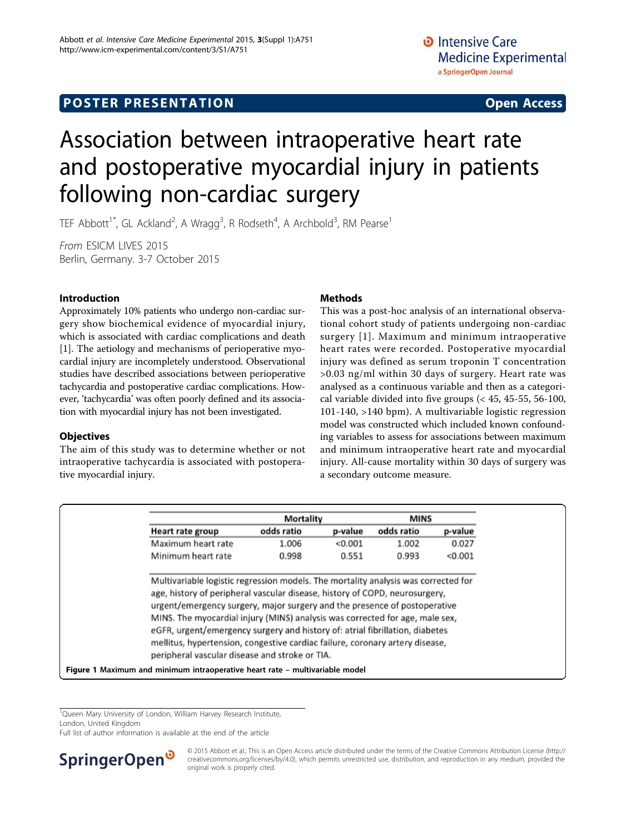## <span id="page-0-0"></span>**POSTER PRESENTATION CONSUMING THE SERVICE SERVICE SERVICES**

# Association between intraoperative heart rate and postoperative myocardial injury in patients following non-cardiac surgery

TEF Abbott<sup>1\*</sup>, GL Ackland<sup>2</sup>, A Wragg<sup>3</sup>, R Rodseth<sup>4</sup>, A Archbold<sup>3</sup>, RM Pearse<sup>1</sup>

From ESICM LIVES 2015 Berlin, Germany. 3-7 October 2015

## Introduction

Approximately 10% patients who undergo non-cardiac surgery show biochemical evidence of myocardial injury, which is associated with cardiac complications and death [[1\]](#page-1-0). The aetiology and mechanisms of perioperative myocardial injury are incompletely understood. Observational studies have described associations between perioperative tachycardia and postoperative cardiac complications. However, 'tachycardia' was often poorly defined and its association with myocardial injury has not been investigated.

#### **Objectives**

The aim of this study was to determine whether or not intraoperative tachycardia is associated with postoperative myocardial injury.

## Methods

This was a post-hoc analysis of an international observational cohort study of patients undergoing non-cardiac surgery [[1](#page-1-0)]. Maximum and minimum intraoperative heart rates were recorded. Postoperative myocardial injury was defined as serum troponin T concentration >0.03 ng/ml within 30 days of surgery. Heart rate was analysed as a continuous variable and then as a categorical variable divided into five groups (< 45, 45-55, 56-100, 101-140, >140 bpm). A multivariable logistic regression model was constructed which included known confounding variables to assess for associations between maximum and minimum intraoperative heart rate and myocardial injury. All-cause mortality within 30 days of surgery was a secondary outcome measure.

| Heart rate group                                                                                                                                                                                                                                                                                                                                                                                         | Mortality  |         | <b>MINS</b> |         |
|----------------------------------------------------------------------------------------------------------------------------------------------------------------------------------------------------------------------------------------------------------------------------------------------------------------------------------------------------------------------------------------------------------|------------|---------|-------------|---------|
|                                                                                                                                                                                                                                                                                                                                                                                                          | odds ratio | p-value | odds ratio  | p-value |
| Maximum heart rate                                                                                                                                                                                                                                                                                                                                                                                       | 1.006      | < 0.001 | 1.002       | 0.027   |
| Minimum heart rate                                                                                                                                                                                                                                                                                                                                                                                       | 0.998      | 0.551   | 0.993       | < 0.001 |
| age, history of peripheral vascular disease, history of COPD, neurosurgery,<br>urgent/emergency surgery, major surgery and the presence of postoperative<br>MINS. The myocardial injury (MINS) analysis was corrected for age, male sex,<br>eGFR, urgent/emergency surgery and history of: atrial fibrillation, diabetes<br>mellitus, hypertension, congestive cardiac failure, coronary artery disease, |            |         |             |         |

<sup>1</sup>Queen Mary University of London, William Harvey Research Institute,

Full list of author information is available at the end of the article



<sup>© 2015</sup> Abbott et al.; This is an Open Access article distributed under the terms of the Creative Commons Attribution License [\(http://](http://creativecommons.org/licenses/by/4.0) [creativecommons.org/licenses/by/4.0](http://creativecommons.org/licenses/by/4.0)), which permits unrestricted use, distribution, and reproduction in any medium, provided the original work is properly cited.

London, United Kingdom